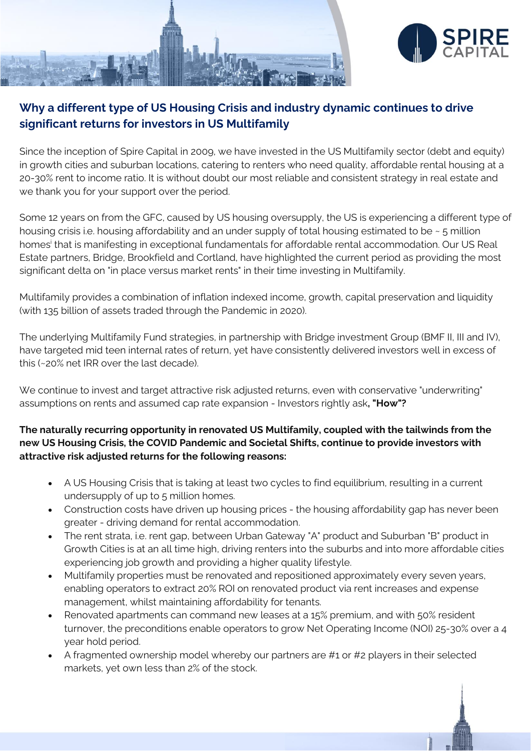



# **Why a different type of US Housing Crisis and industry dynamic continues to drive significant returns for investors in US Multifamily**

Since the inception of Spire Capital in 2009, we have invested in the US Multifamily sector (debt and equity) in growth cities and suburban locations, catering to renters who need quality, affordable rental housing at a 20-30% rent to income ratio. It is without doubt our most reliable and consistent strategy in real estate and we thank you for your support over the period.

Some 12 years on from the GFC, caused by US housing oversupply, the US is experiencing a different type of housing crisis i.e. housing affordability and an under supply of total housing estimated to be ~ 5 million homes<sup>i</sup> that is manifesting in exceptional fundamentals for affordable rental accommodation. Our US Real Estate partners, Bridge, Brookfield and Cortland, have highlighted the current period as providing the most significant delta on "in place versus market rents" in their time investing in Multifamily.

Multifamily provides a combination of inflation indexed income, growth, capital preservation and liquidity (with 135 billion of assets traded through the Pandemic in 2020).

The underlying Multifamily Fund strategies, in partnership with Bridge investment Group (BMF II, III and IV), have targeted mid teen internal rates of return, yet have consistently delivered investors well in excess of this (~20% net IRR over the last decade).

We continue to invest and target attractive risk adjusted returns, even with conservative "underwriting" assumptions on rents and assumed cap rate expansion - Investors rightly ask**, "How"?**

## **The naturally recurring opportunity in renovated US Multifamily, coupled with the tailwinds from the new US Housing Crisis, the COVID Pandemic and Societal Shifts, continue to provide investors with attractive risk adjusted returns for the following reasons:**

- A US Housing Crisis that is taking at least two cycles to find equilibrium, resulting in a current undersupply of up to 5 million homes.
- Construction costs have driven up housing prices the housing affordability gap has never been greater - driving demand for rental accommodation.
- The rent strata, i.e. rent gap, between Urban Gateway "A" product and Suburban "B" product in Growth Cities is at an all time high, driving renters into the suburbs and into more affordable cities experiencing job growth and providing a higher quality lifestyle.
- Multifamily properties must be renovated and repositioned approximately every seven years, enabling operators to extract 20% ROI on renovated product via rent increases and expense management, whilst maintaining affordability for tenants.
- Renovated apartments can command new leases at a 15% premium, and with 50% resident turnover, the preconditions enable operators to grow Net Operating Income (NOI) 25-30% over a 4 year hold period.
- A fragmented ownership model whereby our partners are #1 or #2 players in their selected markets, yet own less than 2% of the stock.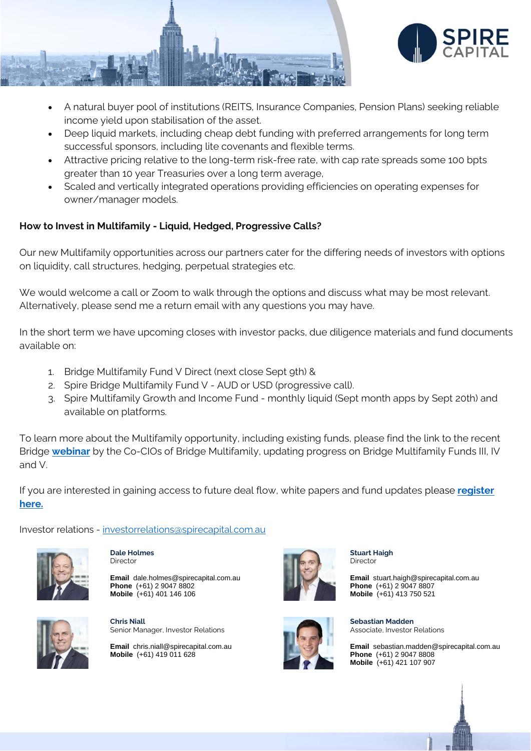

- A natural buyer pool of institutions (REITS, Insurance Companies, Pension Plans) seeking reliable income yield upon stabilisation of the asset.
- Deep liquid markets, including cheap debt funding with preferred arrangements for long term successful sponsors, including lite covenants and flexible terms.
- Attractive pricing relative to the long-term risk-free rate, with cap rate spreads some 100 bpts greater than 10 year Treasuries over a long term average,
- Scaled and vertically integrated operations providing efficiencies on operating expenses for owner/manager models.

## **How to Invest in Multifamily - Liquid, Hedged, Progressive Calls?**

Our new Multifamily opportunities across our partners cater for the differing needs of investors with options on liquidity, call structures, hedging, perpetual strategies etc.

We would welcome a call or Zoom to walk through the options and discuss what may be most relevant. Alternatively, please send me a return email with any questions you may have.

In the short term we have upcoming closes with investor packs, due diligence materials and fund documents available on:

- 1. Bridge Multifamily Fund V Direct (next close Sept 9th) &
- 2. Spire Bridge Multifamily Fund V AUD or USD (progressive call).
- 3. Spire Multifamily Growth and Income Fund monthly liquid (Sept month apps by Sept 20th) and available on platforms.

To learn more about the Multifamily opportunity, including existing funds, please find the link to the recent Bridge **[webinar](https://www.dropbox.com/s/amy2z5az9atn756/Bridge%20Multifamily%20Funds%20III-V%20Q2%20Update.mp4?dl=0)** by the Co-CIOs of Bridge Multifamily, updating progress on Bridge Multifamily Funds III, IV and V.

If you are interested in gaining access to future deal flow, white papers and fund updates please **[register](mailto:sebastian.madden@spirecapital.com.au?subject=Registration%20for%20Ongoing%20Spire%20Communications)  [here.](mailto:sebastian.madden@spirecapital.com.au?subject=Registration%20for%20Ongoing%20Spire%20Communications)**

Investor relations - [investorrelations@spirecapital.com.au](mailto:investorrelations@spirecapital.com.au)





**Email** dale.holmes@spirecapital.com.au **Phone** (+61) 2 9047 8802 **Mobile** (+61) 401 146 106



**Chris Niall** Senior Manager, Investor Relations

**Email** chris.niall@spirecapital.com.au **Mobile** (+61) 419 011 628



**Stuart Haigh** Director

**Email** stuart.haigh@spirecapital.com.au **Phone** (+61) 2 9047 8807 **Mobile** (+61) 413 750 521



**Sebastian Madden** Associate, Investor Relations

**Email** sebastian.madden@spirecapital.com.au **Phone** (+61) 2 9047 8808 **Mobile** (+61) 421 107 907